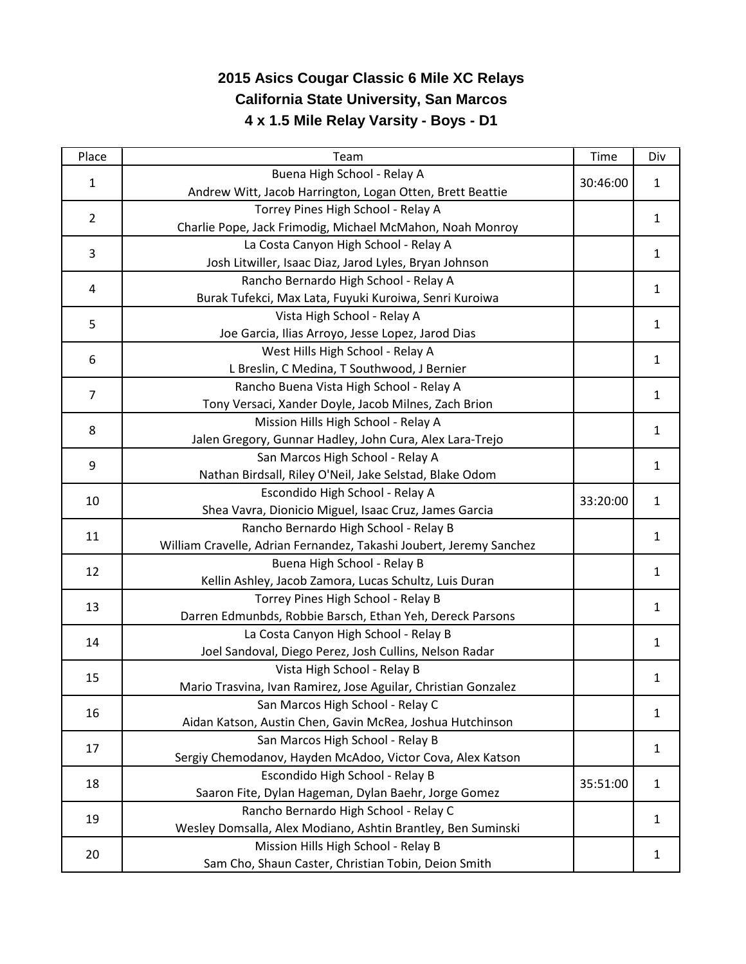## **2015 Asics Cougar Classic 6 Mile XC Relays California State University, San Marcos 4 x 1.5 Mile Relay Varsity - Boys - D1**

| Place          | Team                                                                | <b>Time</b> | Div          |
|----------------|---------------------------------------------------------------------|-------------|--------------|
| $\mathbf{1}$   | Buena High School - Relay A                                         | 30:46:00    | $\mathbf{1}$ |
|                | Andrew Witt, Jacob Harrington, Logan Otten, Brett Beattie           |             |              |
| $\overline{2}$ | Torrey Pines High School - Relay A                                  |             | $\mathbf{1}$ |
|                | Charlie Pope, Jack Frimodig, Michael McMahon, Noah Monroy           |             |              |
| 3              | La Costa Canyon High School - Relay A                               |             | $\mathbf{1}$ |
|                | Josh Litwiller, Isaac Diaz, Jarod Lyles, Bryan Johnson              |             |              |
| 4              | Rancho Bernardo High School - Relay A                               |             | 1            |
|                | Burak Tufekci, Max Lata, Fuyuki Kuroiwa, Senri Kuroiwa              |             |              |
| 5              | Vista High School - Relay A                                         |             | $\mathbf{1}$ |
|                | Joe Garcia, Ilias Arroyo, Jesse Lopez, Jarod Dias                   |             |              |
| 6              | West Hills High School - Relay A                                    |             | $\mathbf{1}$ |
|                | L Breslin, C Medina, T Southwood, J Bernier                         |             |              |
| $\overline{7}$ | Rancho Buena Vista High School - Relay A                            |             | 1            |
|                | Tony Versaci, Xander Doyle, Jacob Milnes, Zach Brion                |             |              |
| 8              | Mission Hills High School - Relay A                                 |             | $\mathbf{1}$ |
|                | Jalen Gregory, Gunnar Hadley, John Cura, Alex Lara-Trejo            |             |              |
| 9              | San Marcos High School - Relay A                                    |             | $\mathbf{1}$ |
|                | Nathan Birdsall, Riley O'Neil, Jake Selstad, Blake Odom             |             |              |
| 10             | Escondido High School - Relay A                                     | 33:20:00    | $\mathbf{1}$ |
|                | Shea Vavra, Dionicio Miguel, Isaac Cruz, James Garcia               |             |              |
| 11             | Rancho Bernardo High School - Relay B                               |             | $\mathbf{1}$ |
|                | William Cravelle, Adrian Fernandez, Takashi Joubert, Jeremy Sanchez |             |              |
| 12             | Buena High School - Relay B                                         |             | $\mathbf{1}$ |
|                | Kellin Ashley, Jacob Zamora, Lucas Schultz, Luis Duran              |             |              |
| 13             | Torrey Pines High School - Relay B                                  |             | 1            |
|                | Darren Edmunbds, Robbie Barsch, Ethan Yeh, Dereck Parsons           |             |              |
| 14             | La Costa Canyon High School - Relay B                               |             | $\mathbf{1}$ |
|                | Joel Sandoval, Diego Perez, Josh Cullins, Nelson Radar              |             |              |
| 15             | Vista High School - Relay B                                         |             | 1            |
|                | Mario Trasvina, Ivan Ramirez, Jose Aguilar, Christian Gonzalez      |             |              |
| 16             | San Marcos High School - Relay C                                    |             | 1            |
|                | Aidan Katson, Austin Chen, Gavin McRea, Joshua Hutchinson           |             |              |
| 17             | San Marcos High School - Relay B                                    |             | $\mathbf{1}$ |
|                | Sergiy Chemodanov, Hayden McAdoo, Victor Cova, Alex Katson          |             |              |
| 18             | Escondido High School - Relay B                                     | 35:51:00    | $\mathbf{1}$ |
|                | Saaron Fite, Dylan Hageman, Dylan Baehr, Jorge Gomez                |             |              |
| 19             | Rancho Bernardo High School - Relay C                               |             | $\mathbf{1}$ |
|                | Wesley Domsalla, Alex Modiano, Ashtin Brantley, Ben Suminski        |             |              |
| 20             | Mission Hills High School - Relay B                                 |             | 1            |
|                | Sam Cho, Shaun Caster, Christian Tobin, Deion Smith                 |             |              |